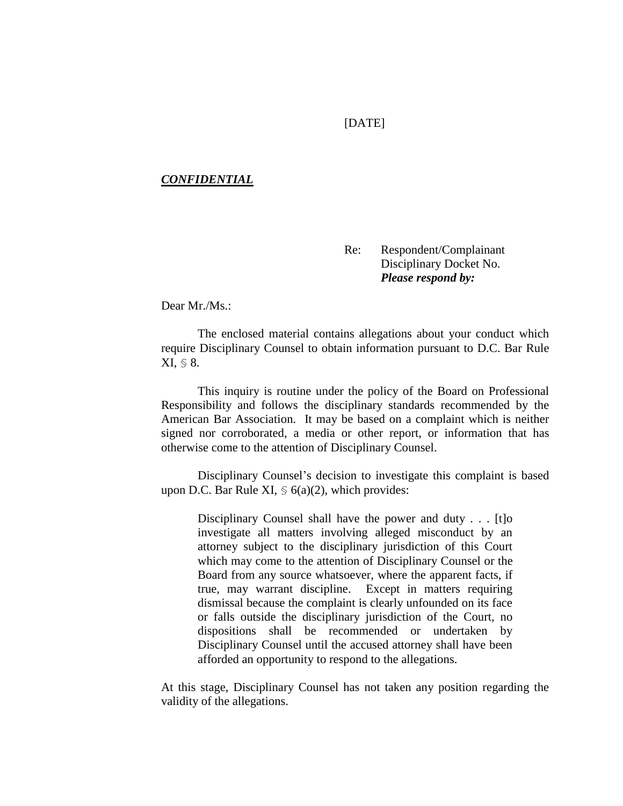## [DATE]

## *CONFIDENTIAL*

Re: Respondent/Complainant Disciplinary Docket No. *Please respond by:* 

Dear Mr./Ms.:

The enclosed material contains allegations about your conduct which require Disciplinary Counsel to obtain information pursuant to D.C. Bar Rule XI, § 8.

This inquiry is routine under the policy of the Board on Professional Responsibility and follows the disciplinary standards recommended by the American Bar Association. It may be based on a complaint which is neither signed nor corroborated, a media or other report, or information that has otherwise come to the attention of Disciplinary Counsel.

Disciplinary Counsel's decision to investigate this complaint is based upon D.C. Bar Rule XI,  $\leq 6(a)(2)$ , which provides:

Disciplinary Counsel shall have the power and duty . . . [t]o investigate all matters involving alleged misconduct by an attorney subject to the disciplinary jurisdiction of this Court which may come to the attention of Disciplinary Counsel or the Board from any source whatsoever, where the apparent facts, if true, may warrant discipline. Except in matters requiring dismissal because the complaint is clearly unfounded on its face or falls outside the disciplinary jurisdiction of the Court, no dispositions shall be recommended or undertaken by Disciplinary Counsel until the accused attorney shall have been afforded an opportunity to respond to the allegations.

At this stage, Disciplinary Counsel has not taken any position regarding the validity of the allegations.